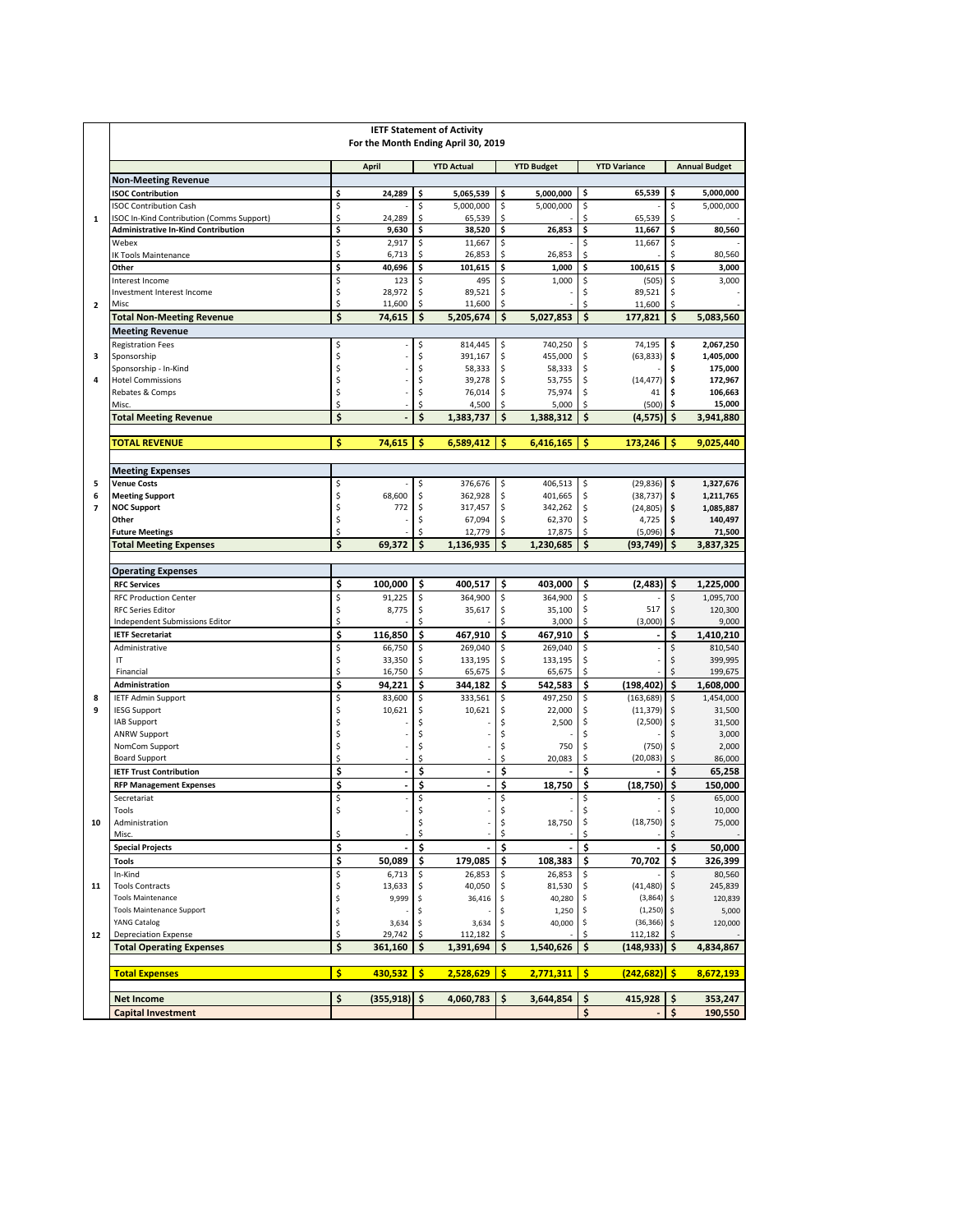|                         | <b>IETF Statement of Activity</b><br>For the Month Ending April 30, 2019 |          |                   |          |                        |          |                        |          |                       |          |                        |
|-------------------------|--------------------------------------------------------------------------|----------|-------------------|----------|------------------------|----------|------------------------|----------|-----------------------|----------|------------------------|
|                         |                                                                          |          | April             |          | <b>YTD Actual</b>      |          | <b>YTD Budget</b>      |          | <b>YTD Variance</b>   |          | <b>Annual Budget</b>   |
|                         | <b>Non-Meeting Revenue</b>                                               |          |                   |          |                        |          |                        |          |                       |          |                        |
|                         | <b>ISOC Contribution</b><br><b>ISOC Contribution Cash</b>                | \$<br>\$ | 24,289            | \$<br>\$ | 5,065,539<br>5,000,000 | \$<br>\$ | 5,000,000<br>5,000,000 | \$<br>\$ | 65,539                | \$<br>\$ | 5,000,000<br>5,000,000 |
| $\mathbf{1}$            | ISOC In-Kind Contribution (Comms Support)                                | \$       | 24,289            | \$       | 65,539                 | \$       |                        | \$       | 65,539                | \$       |                        |
|                         | <b>Administrative In-Kind Contribution</b>                               | \$       | 9,630             | \$       | 38,520                 | \$       | 26,853                 | \$       | 11,667                | \$       | 80,560                 |
|                         | Webex                                                                    | \$       | 2,917             | \$       | 11,667                 | \$       |                        | \$       | 11,667                | \$       |                        |
|                         | <b>IK Tools Maintenance</b><br>Other                                     | \$<br>\$ | 6,713             | \$       | 26,853                 | \$       | 26,853                 | \$       |                       | \$       | 80,560                 |
|                         | Interest Income                                                          | \$       | 40,696<br>123     | \$<br>\$ | 101,615<br>495         | \$<br>\$ | 1,000<br>1,000         | \$<br>\$ | 100,615<br>(505)      | \$<br>\$ | 3,000<br>3,000         |
|                         | Investment Interest Income                                               | \$       | 28,972            | \$       | 89,521                 | \$       |                        | \$       | 89,521                | \$       |                        |
| $\overline{\mathbf{2}}$ | Misc                                                                     | \$       | 11,600            | \$       | 11,600                 | \$       |                        | \$       | 11,600                | Ŝ.       |                        |
|                         | <b>Total Non-Meeting Revenue</b>                                         | \$       | 74,615            | \$       | 5,205,674              | \$       | 5,027,853              | \$       | 177.821               | \$       | 5,083,560              |
|                         | <b>Meeting Revenue</b>                                                   |          |                   |          |                        |          |                        |          |                       |          |                        |
| з                       | <b>Registration Fees</b><br>Sponsorship                                  | \$<br>\$ | L,                | \$<br>\$ | 814,445<br>391,167     | \$<br>\$ | 740,250<br>455,000     | \$<br>\$ | 74,195<br>(63, 833)   | \$<br>\$ | 2,067,250<br>1,405,000 |
|                         | Sponsorship - In-Kind                                                    | \$       |                   | \$       | 58,333                 | \$       | 58,333                 | \$       |                       | \$       | 175,000                |
| 4                       | <b>Hotel Commissions</b>                                                 | \$       |                   | \$       | 39,278                 | \$       | 53,755                 | \$       | (14, 477)             | \$       | 172,967                |
|                         | Rebates & Comps                                                          | \$       |                   | \$       | 76,014                 | \$       | 75,974                 | \$       | 41                    | \$       | 106,663                |
|                         | Misc.                                                                    | \$<br>\$ |                   | \$<br>Ś  | 4,500                  | Ś<br>Ś   | 5,000                  | \$<br>Ś  | (500)                 | \$<br>Ś  | 15,000                 |
|                         | <b>Total Meeting Revenue</b>                                             |          |                   |          | 1,383,737              |          | 1,388,312              |          | (4, 575)              |          | 3,941,880              |
|                         | <b>TOTAL REVENUE</b>                                                     | \$       | 74,615            | Ś        | 6,589,412              | \$       | 6,416,165              | Ś        | 173,246               | Ś        | 9,025,440              |
|                         | <b>Meeting Expenses</b>                                                  |          |                   |          |                        |          |                        |          |                       |          |                        |
| 5                       | <b>Venue Costs</b>                                                       | \$       |                   | \$       | 376,676                | \$       | 406,513                | \$       | (29, 836)             | \$       | 1,327,676              |
| 6                       | <b>Meeting Support</b>                                                   | \$       | 68,600            | \$       | 362,928                | \$       | 401,665                | \$       | (38, 737)             | \$       | 1,211,765              |
| $\overline{7}$          | <b>NOC Support</b><br>Other                                              | \$       | 772               | \$       | 317,457                | \$       | 342,262                | \$       | (24, 805)             | \$       | 1,085,887              |
|                         | <b>Future Meetings</b>                                                   | \$<br>\$ |                   | \$<br>\$ | 67,094<br>12,779       | \$<br>\$ | 62,370<br>17,875       | \$<br>\$ | 4,725<br>(5,096)      | Ś<br>\$  | 140,497<br>71,500      |
|                         | <b>Total Meeting Expenses</b>                                            | \$       | 69.372            | \$       | 1,136,935              | \$       | 1,230,685              | \$       | (93, 749)             | \$       | 3,837,325              |
|                         |                                                                          |          |                   |          |                        |          |                        |          |                       |          |                        |
|                         | <b>Operating Expenses</b><br><b>RFC Services</b>                         | \$       | 100,000           | \$       | 400,517                | \$       | 403,000                | \$       | (2, 483)              | \$       | 1,225,000              |
|                         | <b>RFC Production Center</b>                                             | \$       | 91,225            | \$       | 364,900                | \$       | 364,900                | \$       |                       | \$       | 1,095,700              |
|                         | <b>RFC Series Editor</b>                                                 | \$       | 8,775             | \$       | 35,617                 | \$       | 35,100                 | \$       | 517                   | \$       | 120,300                |
|                         | Independent Submissions Editor                                           | \$       |                   | Ś        |                        | Ś        | 3,000                  | \$       | (3,000)               | \$       | 9,000                  |
|                         | <b>IETF Secretariat</b>                                                  | \$       | 116,850           | \$       | 467,910                | \$       | 467,910                | \$       |                       | \$       | 1,410,210              |
|                         | Administrative<br>IT                                                     | \$<br>\$ | 66,750<br>33,350  | \$<br>\$ | 269,040<br>133,195     | \$<br>\$ | 269,040<br>133,195     | \$<br>\$ |                       | \$<br>\$ | 810,540<br>399,995     |
|                         | Financial                                                                | \$       | 16,750            | \$       | 65,675                 | \$       | 65,675                 | \$       |                       | \$       | 199,675                |
|                         | <b>Administration</b>                                                    | \$       | 94,221            | \$       | 344,182                | \$       | 542,583                | \$       | (198, 402)            | \$       | 1,608,000              |
| 8                       | <b>IETF Admin Support</b>                                                | \$       | 83,600            | \$       | 333,561                | \$       | 497,250                | \$       | (163, 689)            | \$       | 1,454,000              |
| 9                       | <b>IESG Support</b>                                                      | \$       | 10,621            | \$       | 10,621                 | \$       | 22,000                 | \$       | (11, 379)             | \$       | 31,500                 |
|                         | IAB Support<br><b>ANRW Support</b>                                       | \$<br>\$ |                   | Ś<br>\$  |                        | \$<br>\$ | 2,500                  | \$<br>\$ | (2,500)               | \$       | 31,500<br>3,000        |
|                         | NomCom Support                                                           | \$       |                   | Ś        |                        | \$       | 750                    | \$       | (750)                 | \$       | 2,000                  |
|                         | <b>Board Support</b>                                                     | \$       |                   | \$       |                        | \$       | 20,083                 | \$       | (20,083)              | \$       | 86,000                 |
|                         | <b>IETF Trust Contribution</b>                                           | \$       | ÷.                | \$       | ä,                     | \$       |                        | \$       |                       | \$       | 65,258                 |
|                         | <b>RFP Management Expenses</b>                                           | \$       | $\overline{a}$    | \$       | ä,                     | \$       | 18,750                 | \$       | (18, 750)             | \$       | 150,000                |
|                         | Secretariat<br>Tools                                                     | \$<br>Ś  |                   | \$<br>\$ |                        | \$<br>Ś  |                        | \$<br>Ś  |                       | \$<br>Ś  | 65,000<br>10.000       |
| 10                      | Administration                                                           |          |                   | \$       |                        | \$       | 18,750                 | \$       | (18, 750)             | \$       | 75,000                 |
|                         | Misc.                                                                    | \$       |                   | \$       |                        | \$       |                        | \$       |                       | \$       |                        |
|                         | <b>Special Projects</b>                                                  | \$       |                   | \$       |                        | \$       |                        | Ś        |                       | \$       | 50,000                 |
|                         | <b>Tools</b>                                                             | \$       | 50.089            | \$       | 179,085                | \$       | 108,383                | \$       | 70,702                | \$       | 326,399                |
| 11                      | In-Kind<br><b>Tools Contracts</b>                                        | \$<br>\$ | 6,713<br>13,633   | \$<br>\$ | 26,853<br>40,050       | \$<br>\$ | 26,853<br>81,530       | \$       | (41, 480)             | \$       | 80,560<br>245,839      |
|                         | <b>Tools Maintenance</b>                                                 | \$       | 9,999             | \$       | 36,416                 | \$       | 40,280                 |          | (3,864)               |          | 120,839                |
|                         | <b>Tools Maintenance Support</b>                                         | \$       |                   | \$       |                        | \$       | 1,250                  | \$       | (1, 250)              | \$       | 5,000                  |
|                         | <b>YANG Catalog</b>                                                      | \$       | 3,634             | \$       | 3,634                  | \$       | 40,000                 | \$.      | (36, 366)             | \$       | 120,000                |
| 12                      | <b>Depreciation Expense</b><br><b>Total Operating Expenses</b>           | \$<br>\$ | 29,742<br>361,160 | \$<br>\$ | 112,182<br>1,391,694   | Ŝ.<br>\$ | 1,540,626              | \$<br>\$ | 112,182<br>(148, 933) | \$       | 4,834,867              |
|                         |                                                                          |          |                   |          |                        |          |                        |          |                       |          |                        |
|                         | <b>Total Expenses</b>                                                    | \$       | 430,532           | \$       | 2,528,629              | \$       | 2,771,311              | \$       | (242, 682)            | \$       | 8,672,193              |
|                         | <b>Net Income</b>                                                        | \$       | $(355, 918)$ \$   |          | 4,060,783              | \$       | 3,644,854              | \$       | 415,928               | \$       | 353,247                |
|                         | <b>Capital Investment</b>                                                |          |                   |          |                        |          |                        | \$       |                       | \$       | 190,550                |